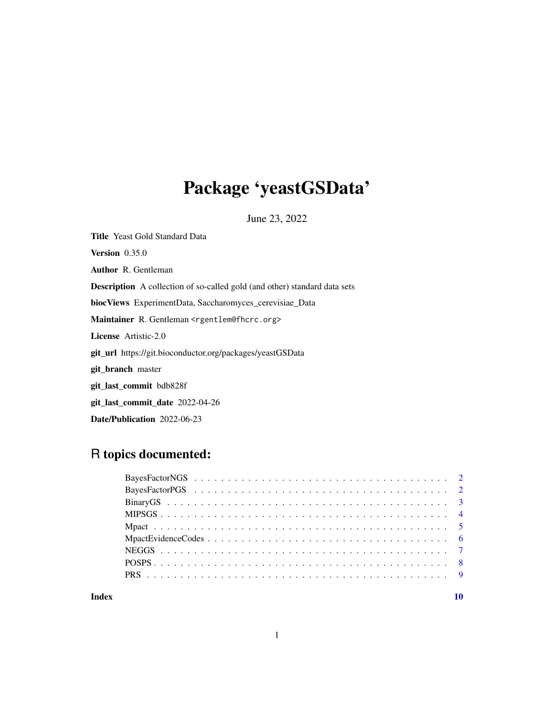## Package 'yeastGSData'

June 23, 2022

Title Yeast Gold Standard Data Version 0.35.0 Author R. Gentleman Description A collection of so-called gold (and other) standard data sets biocViews ExperimentData, Saccharomyces\_cerevisiae\_Data Maintainer R. Gentleman <rgentlem@fhcrc.org> License Artistic-2.0 git\_url https://git.bioconductor.org/packages/yeastGSData git\_branch master git\_last\_commit bdb828f git\_last\_commit\_date 2022-04-26 Date/Publication 2022-06-23

## R topics documented:

#### $\blacksquare$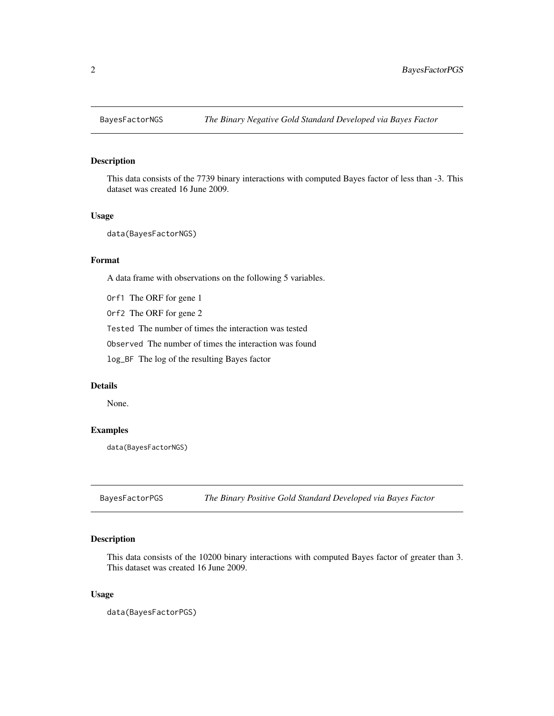<span id="page-1-0"></span>

#### Description

This data consists of the 7739 binary interactions with computed Bayes factor of less than -3. This dataset was created 16 June 2009.

#### Usage

data(BayesFactorNGS)

#### Format

A data frame with observations on the following 5 variables.

Orf1 The ORF for gene 1

Orf2 The ORF for gene 2

Tested The number of times the interaction was tested

Observed The number of times the interaction was found

log\_BF The log of the resulting Bayes factor

#### Details

None.

#### Examples

data(BayesFactorNGS)

BayesFactorPGS *The Binary Positive Gold Standard Developed via Bayes Factor*

### Description

This data consists of the 10200 binary interactions with computed Bayes factor of greater than 3. This dataset was created 16 June 2009.

#### Usage

data(BayesFactorPGS)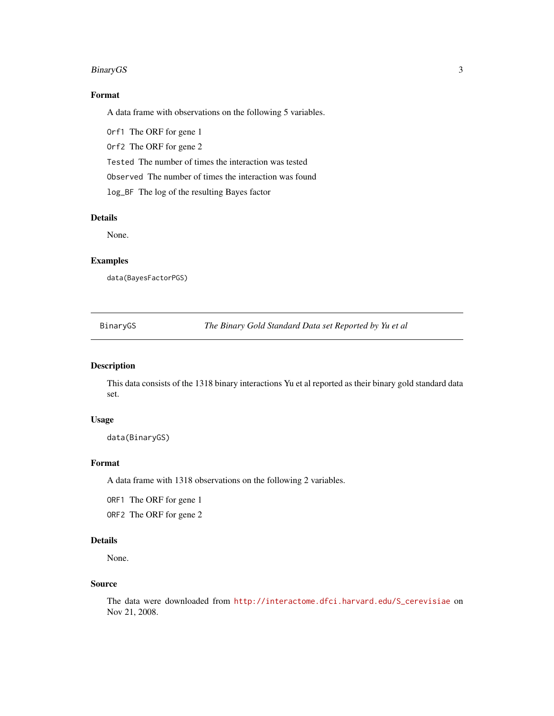#### <span id="page-2-0"></span>BinaryGS 3

### Format

A data frame with observations on the following 5 variables.

Orf1 The ORF for gene 1

Orf2 The ORF for gene 2

Tested The number of times the interaction was tested

Observed The number of times the interaction was found

log\_BF The log of the resulting Bayes factor

#### Details

None.

#### Examples

data(BayesFactorPGS)

BinaryGS *The Binary Gold Standard Data set Reported by Yu et al*

#### Description

This data consists of the 1318 binary interactions Yu et al reported as their binary gold standard data set.

#### Usage

data(BinaryGS)

#### Format

A data frame with 1318 observations on the following 2 variables.

ORF1 The ORF for gene 1

ORF2 The ORF for gene 2

#### Details

None.

#### Source

The data were downloaded from [http://interactome.dfci.harvard.edu/S\\_cerevisiae](http://interactome.dfci.harvard.edu/S_cerevisiae) on Nov 21, 2008.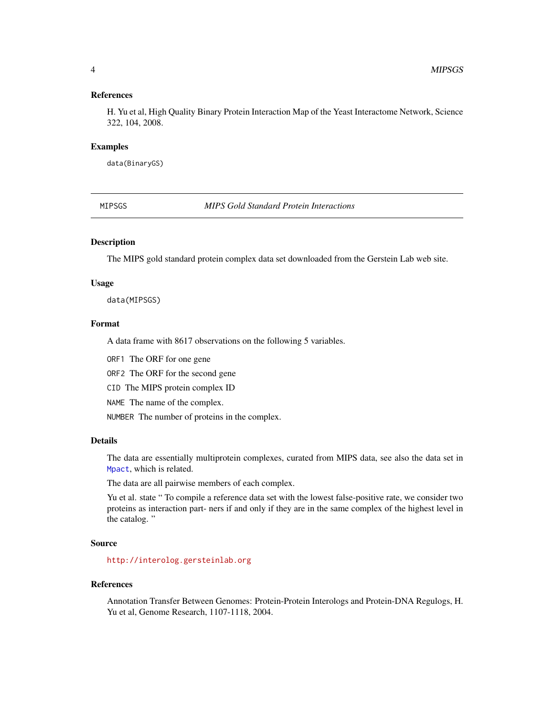#### <span id="page-3-0"></span>References

H. Yu et al, High Quality Binary Protein Interaction Map of the Yeast Interactome Network, Science 322, 104, 2008.

#### Examples

data(BinaryGS)

<span id="page-3-1"></span>MIPSGS *MIPS Gold Standard Protein Interactions*

#### Description

The MIPS gold standard protein complex data set downloaded from the Gerstein Lab web site.

#### Usage

data(MIPSGS)

#### Format

A data frame with 8617 observations on the following 5 variables.

ORF1 The ORF for one gene

ORF2 The ORF for the second gene

CID The MIPS protein complex ID

NAME The name of the complex.

NUMBER The number of proteins in the complex.

#### Details

The data are essentially multiprotein complexes, curated from MIPS data, see also the data set in [Mpact](#page-4-1), which is related.

The data are all pairwise members of each complex.

Yu et al. state " To compile a reference data set with the lowest false-positive rate, we consider two proteins as interaction part- ners if and only if they are in the same complex of the highest level in the catalog. "

#### Source

<http://interolog.gersteinlab.org>

#### References

Annotation Transfer Between Genomes: Protein-Protein Interologs and Protein-DNA Regulogs, H. Yu et al, Genome Research, 1107-1118, 2004.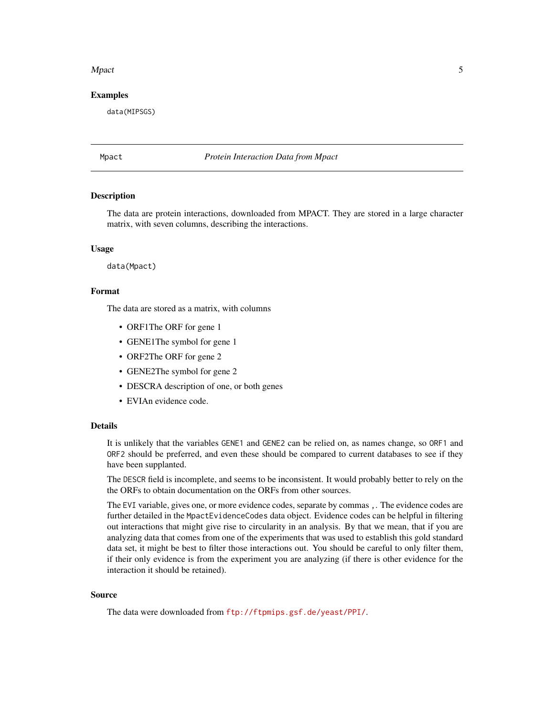#### <span id="page-4-0"></span>Mpact 55 and 55 and 55 and 55 and 55 and 55 and 55 and 55 and 55 and 55 and 55 and 55 and 55 and 55 and 55 and 55 and 55 and 55 and 55 and 55 and 55 and 55 and 55 and 55 and 55 and 55 and 55 and 55 and 55 and 55 and 55 and

#### Examples

data(MIPSGS)

<span id="page-4-1"></span>

#### Mpact *Protein Interaction Data from Mpact*

#### Description

The data are protein interactions, downloaded from MPACT. They are stored in a large character matrix, with seven columns, describing the interactions.

#### Usage

data(Mpact)

#### Format

The data are stored as a matrix, with columns

- ORF1The ORF for gene 1
- GENE1The symbol for gene 1
- ORF2The ORF for gene 2
- GENE2The symbol for gene 2
- DESCRA description of one, or both genes
- EVIAn evidence code.

#### Details

It is unlikely that the variables GENE1 and GENE2 can be relied on, as names change, so ORF1 and ORF2 should be preferred, and even these should be compared to current databases to see if they have been supplanted.

The DESCR field is incomplete, and seems to be inconsistent. It would probably better to rely on the the ORFs to obtain documentation on the ORFs from other sources.

The EVI variable, gives one, or more evidence codes, separate by commas ,. The evidence codes are further detailed in the MpactEvidenceCodes data object. Evidence codes can be helpful in filtering out interactions that might give rise to circularity in an analysis. By that we mean, that if you are analyzing data that comes from one of the experiments that was used to establish this gold standard data set, it might be best to filter those interactions out. You should be careful to only filter them, if their only evidence is from the experiment you are analyzing (if there is other evidence for the interaction it should be retained).

#### Source

The data were downloaded from <ftp://ftpmips.gsf.de/yeast/PPI/>.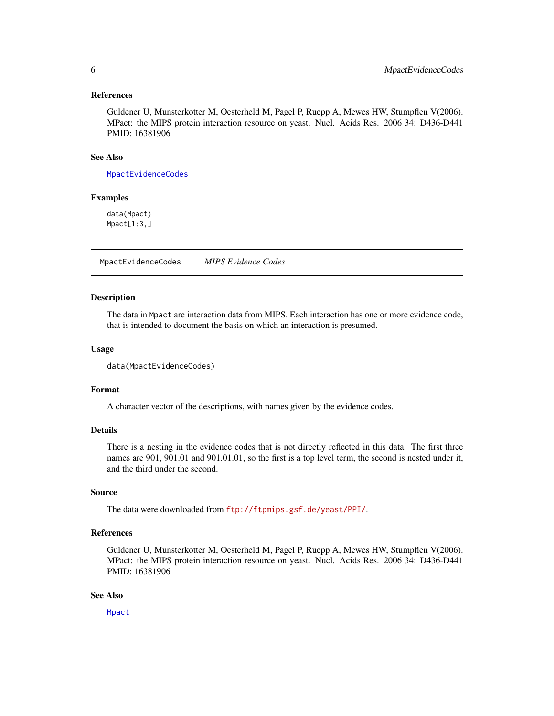#### <span id="page-5-0"></span>References

Guldener U, Munsterkotter M, Oesterheld M, Pagel P, Ruepp A, Mewes HW, Stumpflen V(2006). MPact: the MIPS protein interaction resource on yeast. Nucl. Acids Res. 2006 34: D436-D441 PMID: 16381906

#### See Also

[MpactEvidenceCodes](#page-5-1)

#### Examples

data(Mpact) Mpact[1:3,]

<span id="page-5-1"></span>MpactEvidenceCodes *MIPS Evidence Codes*

#### Description

The data in Mpact are interaction data from MIPS. Each interaction has one or more evidence code, that is intended to document the basis on which an interaction is presumed.

#### Usage

```
data(MpactEvidenceCodes)
```
#### Format

A character vector of the descriptions, with names given by the evidence codes.

#### Details

There is a nesting in the evidence codes that is not directly reflected in this data. The first three names are 901, 901.01 and 901.01.01, so the first is a top level term, the second is nested under it, and the third under the second.

#### Source

The data were downloaded from <ftp://ftpmips.gsf.de/yeast/PPI/>.

#### References

Guldener U, Munsterkotter M, Oesterheld M, Pagel P, Ruepp A, Mewes HW, Stumpflen V(2006). MPact: the MIPS protein interaction resource on yeast. Nucl. Acids Res. 2006 34: D436-D441 PMID: 16381906

#### See Also

[Mpact](#page-4-1)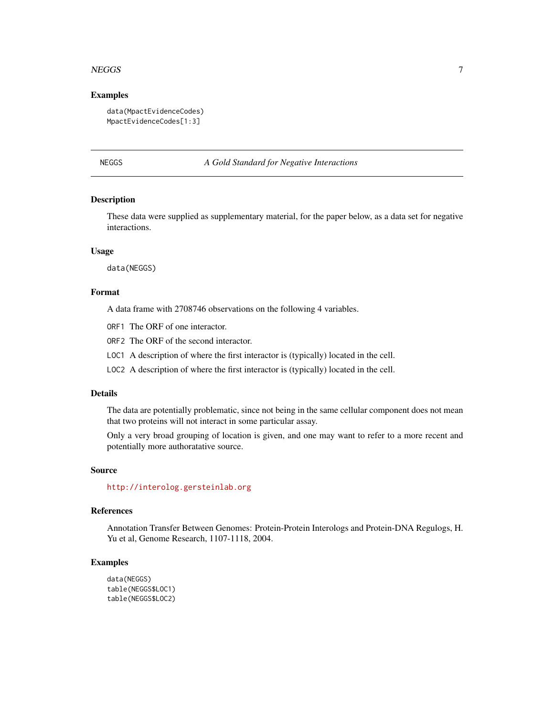#### <span id="page-6-0"></span> $NEG$ GS  $\overline{7}$

#### Examples

```
data(MpactEvidenceCodes)
MpactEvidenceCodes[1:3]
```
#### NEGGS *A Gold Standard for Negative Interactions*

### **Description**

These data were supplied as supplementary material, for the paper below, as a data set for negative interactions.

#### Usage

data(NEGGS)

#### Format

A data frame with 2708746 observations on the following 4 variables.

- ORF1 The ORF of one interactor.
- ORF2 The ORF of the second interactor.
- LOC1 A description of where the first interactor is (typically) located in the cell.
- LOC2 A description of where the first interactor is (typically) located in the cell.

#### Details

The data are potentially problematic, since not being in the same cellular component does not mean that two proteins will not interact in some particular assay.

Only a very broad grouping of location is given, and one may want to refer to a more recent and potentially more authoratative source.

#### Source

<http://interolog.gersteinlab.org>

#### References

Annotation Transfer Between Genomes: Protein-Protein Interologs and Protein-DNA Regulogs, H. Yu et al, Genome Research, 1107-1118, 2004.

#### Examples

```
data(NEGGS)
table(NEGGS$LOC1)
table(NEGGS$LOC2)
```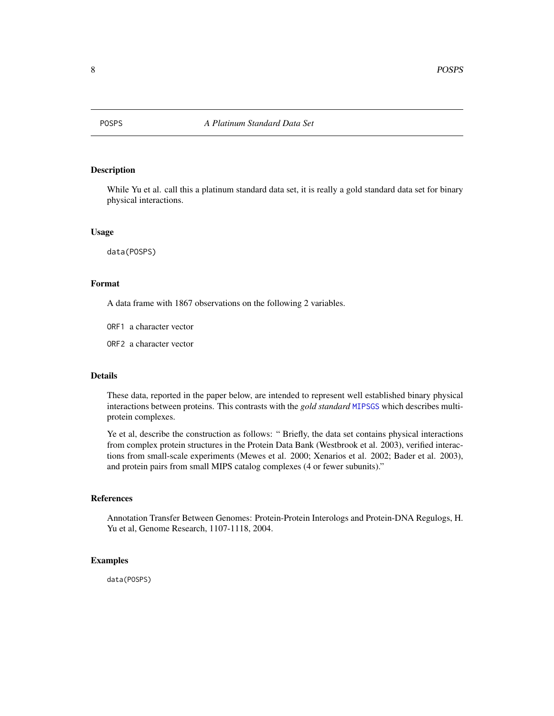<span id="page-7-0"></span>

#### Description

While Yu et al. call this a platinum standard data set, it is really a gold standard data set for binary physical interactions.

#### Usage

data(POSPS)

#### Format

A data frame with 1867 observations on the following 2 variables.

ORF1 a character vector

ORF2 a character vector

#### Details

These data, reported in the paper below, are intended to represent well established binary physical interactions between proteins. This contrasts with the *gold standard* [MIPSGS](#page-3-1) which describes multiprotein complexes.

Ye et al, describe the construction as follows: " Briefly, the data set contains physical interactions from complex protein structures in the Protein Data Bank (Westbrook et al. 2003), verified interactions from small-scale experiments (Mewes et al. 2000; Xenarios et al. 2002; Bader et al. 2003), and protein pairs from small MIPS catalog complexes (4 or fewer subunits)."

#### References

Annotation Transfer Between Genomes: Protein-Protein Interologs and Protein-DNA Regulogs, H. Yu et al, Genome Research, 1107-1118, 2004.

#### Examples

data(POSPS)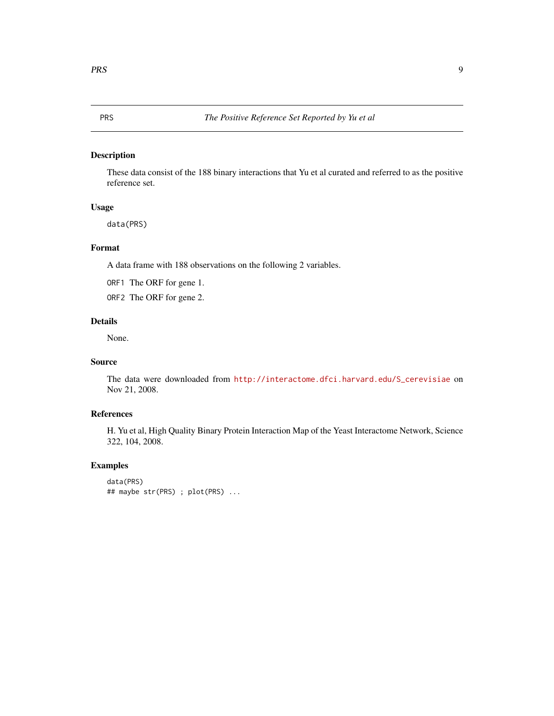#### <span id="page-8-0"></span>Description

These data consist of the 188 binary interactions that Yu et al curated and referred to as the positive reference set.

#### Usage

data(PRS)

#### Format

A data frame with 188 observations on the following 2 variables.

ORF1 The ORF for gene 1.

ORF2 The ORF for gene 2.

### Details

None.

#### Source

The data were downloaded from [http://interactome.dfci.harvard.edu/S\\_cerevisiae](http://interactome.dfci.harvard.edu/S_cerevisiae) on Nov 21, 2008.

#### References

H. Yu et al, High Quality Binary Protein Interaction Map of the Yeast Interactome Network, Science 322, 104, 2008.

#### Examples

```
data(PRS)
## maybe str(PRS) ; plot(PRS) ...
```